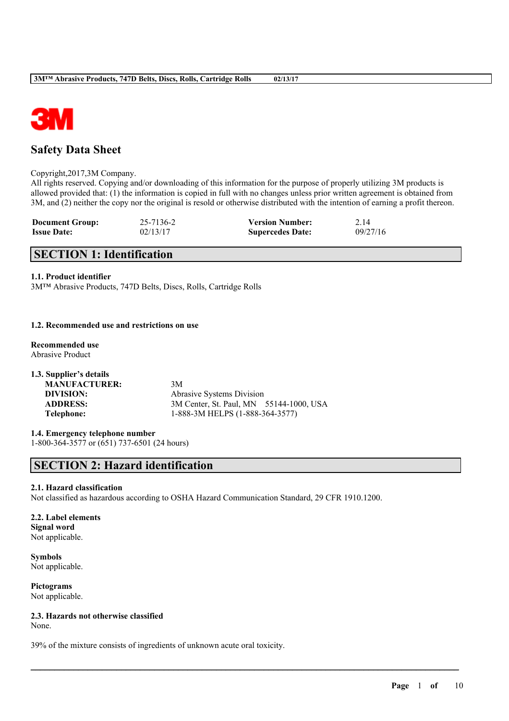

# **Safety Data Sheet**

#### Copyright,2017,3M Company.

All rights reserved. Copying and/or downloading of this information for the purpose of properly utilizing 3M products is allowed provided that: (1) the information is copied in full with no changes unless prior written agreement is obtained from 3M, and (2) neither the copy nor the original is resold or otherwise distributed with the intention of earning a profit thereon.

| <b>Document Group:</b> | 25-7136-2 | <b>Version Number:</b>  | 2.14     |
|------------------------|-----------|-------------------------|----------|
| <b>Issue Date:</b>     | 02/13/17  | <b>Supercedes Date:</b> | 09/27/16 |

# **SECTION 1: Identification**

## **1.1. Product identifier**

3M™ Abrasive Products, 747D Belts, Discs, Rolls, Cartridge Rolls

#### **1.2. Recommended use and restrictions on use**

- **Recommended use** Abrasive Product
- **1.3. Supplier's details MANUFACTURER:** 3M **DIVISION:** Abrasive Systems Division **ADDRESS:** 3M Center, St. Paul, MN 55144-1000, USA **Telephone:** 1-888-3M HELPS (1-888-364-3577)

**1.4. Emergency telephone number** 1-800-364-3577 or (651) 737-6501 (24 hours)

# **SECTION 2: Hazard identification**

## **2.1. Hazard classification**

Not classified as hazardous according to OSHA Hazard Communication Standard, 29 CFR 1910.1200.

 $\mathcal{L}_\mathcal{L} = \mathcal{L}_\mathcal{L} = \mathcal{L}_\mathcal{L} = \mathcal{L}_\mathcal{L} = \mathcal{L}_\mathcal{L} = \mathcal{L}_\mathcal{L} = \mathcal{L}_\mathcal{L} = \mathcal{L}_\mathcal{L} = \mathcal{L}_\mathcal{L} = \mathcal{L}_\mathcal{L} = \mathcal{L}_\mathcal{L} = \mathcal{L}_\mathcal{L} = \mathcal{L}_\mathcal{L} = \mathcal{L}_\mathcal{L} = \mathcal{L}_\mathcal{L} = \mathcal{L}_\mathcal{L} = \mathcal{L}_\mathcal{L}$ 

## **2.2. Label elements Signal word** Not applicable.

**Symbols** Not applicable.

**Pictograms** Not applicable.

**2.3. Hazards not otherwise classified** None.

39% of the mixture consists of ingredients of unknown acute oral toxicity.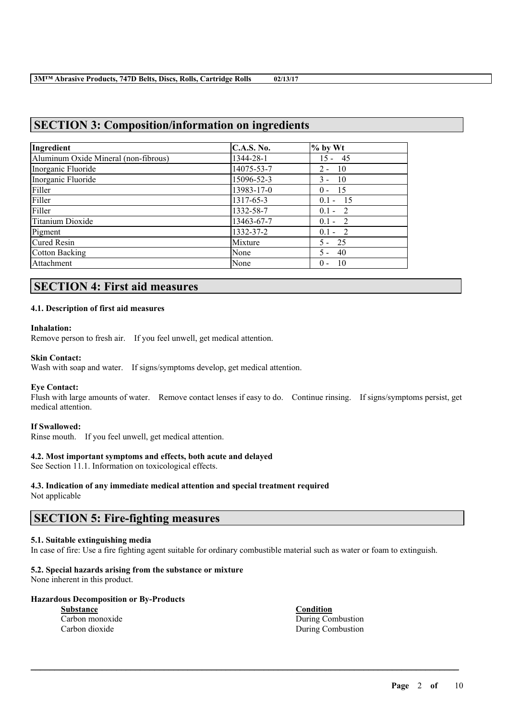# **SECTION 3: Composition/information on ingredients**

| Ingredient                           | <b>C.A.S. No.</b> | $%$ by Wt     |
|--------------------------------------|-------------------|---------------|
| Aluminum Oxide Mineral (non-fibrous) | 1344-28-1         | $15 - 45$     |
| Inorganic Fluoride                   | 14075-53-7        | - 10<br>$2 -$ |
| Inorganic Fluoride                   | 15096-52-3        | - 10<br>$3 -$ |
| Filler                               | 13983-17-0        | $0 - 15$      |
| Filler                               | 1317-65-3         | $0.1 - 15$    |
| Filler                               | 1332-58-7         | $0.1 - 2$     |
| Titanium Dioxide                     | 13463-67-7        | $0.1 - 2$     |
| Pigment                              | 1332-37-2         | $0.1 - 2$     |
| <b>Cured Resin</b>                   | Mixture           | $5 - 25$      |
| <b>Cotton Backing</b>                | None              | $5 - 40$      |
| Attachment                           | None              | - 10<br>$0 -$ |

# **SECTION 4: First aid measures**

## **4.1. Description of first aid measures**

#### **Inhalation:**

Remove person to fresh air. If you feel unwell, get medical attention.

## **Skin Contact:**

Wash with soap and water. If signs/symptoms develop, get medical attention.

## **Eye Contact:**

Flush with large amounts of water. Remove contact lenses if easy to do. Continue rinsing. If signs/symptoms persist, get medical attention.

## **If Swallowed:**

Rinse mouth. If you feel unwell, get medical attention.

## **4.2. Most important symptoms and effects, both acute and delayed**

See Section 11.1. Information on toxicological effects.

# **4.3. Indication of any immediate medical attention and special treatment required**

Not applicable

## **SECTION 5: Fire-fighting measures**

## **5.1. Suitable extinguishing media**

In case of fire: Use a fire fighting agent suitable for ordinary combustible material such as water or foam to extinguish.

 $\mathcal{L}_\mathcal{L} = \mathcal{L}_\mathcal{L} = \mathcal{L}_\mathcal{L} = \mathcal{L}_\mathcal{L} = \mathcal{L}_\mathcal{L} = \mathcal{L}_\mathcal{L} = \mathcal{L}_\mathcal{L} = \mathcal{L}_\mathcal{L} = \mathcal{L}_\mathcal{L} = \mathcal{L}_\mathcal{L} = \mathcal{L}_\mathcal{L} = \mathcal{L}_\mathcal{L} = \mathcal{L}_\mathcal{L} = \mathcal{L}_\mathcal{L} = \mathcal{L}_\mathcal{L} = \mathcal{L}_\mathcal{L} = \mathcal{L}_\mathcal{L}$ 

# **5.2. Special hazards arising from the substance or mixture**

None inherent in this product.

## **Hazardous Decomposition or By-Products**

**Substance Condition** Carbon monoxide During Combustion Carbon dioxide During Combustion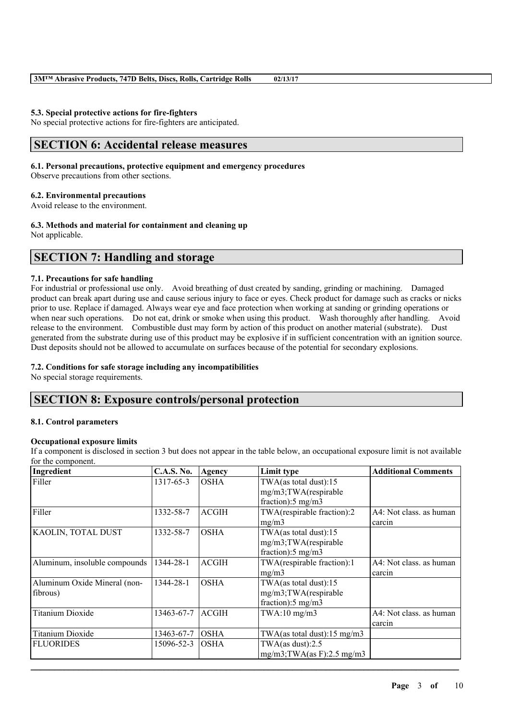#### **5.3. Special protective actions for fire-fighters**

No special protective actions for fire-fighters are anticipated.

# **SECTION 6: Accidental release measures**

#### **6.1. Personal precautions, protective equipment and emergency procedures**

Observe precautions from other sections.

## **6.2. Environmental precautions**

Avoid release to the environment.

## **6.3. Methods and material for containment and cleaning up**

Not applicable.

# **SECTION 7: Handling and storage**

#### **7.1. Precautions for safe handling**

For industrial or professional use only. Avoid breathing of dust created by sanding, grinding or machining. Damaged product can break apart during use and cause serious injury to face or eyes. Check product for damage such as cracks or nicks prior to use. Replace if damaged. Always wear eye and face protection when working at sanding or grinding operations or when near such operations. Do not eat, drink or smoke when using this product. Wash thoroughly after handling. Avoid release to the environment. Combustible dust may form by action of this product on another material (substrate). Dust generated from the substrate during use of this product may be explosive if in sufficient concentration with an ignition source. Dust deposits should not be allowed to accumulate on surfaces because of the potential for secondary explosions.

## **7.2. Conditions for safe storage including any incompatibilities**

No special storage requirements.

## **SECTION 8: Exposure controls/personal protection**

#### **8.1. Control parameters**

## **Occupational exposure limits**

If a component is disclosed in section 3 but does not appear in the table below, an occupational exposure limit is not available for the component.

| Ingredient                               | <b>C.A.S. No.</b> | Agency       | Limit type                                                                     | <b>Additional Comments</b>        |
|------------------------------------------|-------------------|--------------|--------------------------------------------------------------------------------|-----------------------------------|
| Filler                                   | 1317-65-3         | <b>OSHA</b>  | TWA(as total dust):15<br>mg/m3;TWA(respirable<br>fraction):5 mg/m3             |                                   |
| Filler                                   | 1332-58-7         | <b>ACGIH</b> | TWA(respirable fraction):2<br>mg/m3                                            | A4: Not class. as human<br>carcin |
| KAOLIN, TOTAL DUST                       | 1332-58-7         | <b>OSHA</b>  | TWA(as total dust):15<br>mg/m3;TWA(respirable<br>fraction): $5 \text{ mg/m}$ 3 |                                   |
| Aluminum, insoluble compounds            | 1344-28-1         | <b>ACGIH</b> | TWA(respirable fraction):1<br>mg/m3                                            | A4: Not class. as human<br>carcin |
| Aluminum Oxide Mineral (non-<br>fibrous) | 1344-28-1         | <b>OSHA</b>  | TWA(as total dust):15<br>mg/m3;TWA(respirable<br>fraction): $5 \text{ mg/m}$ 3 |                                   |
| <b>Titanium Dioxide</b>                  | 13463-67-7        | <b>ACGIH</b> | $TWA:10$ mg/m $3$                                                              | A4: Not class, as human<br>carcin |
| Titanium Dioxide                         | 13463-67-7        | <b>OSHA</b>  | TWA(as total dust): $15 \text{ mg/m}$ 3                                        |                                   |
| <b>FLUORIDES</b>                         | 15096-52-3        | <b>OSHA</b>  | TWA(as dust): $2.5$<br>$mg/m3$ ; TWA(as F): 2.5 mg/m3                          |                                   |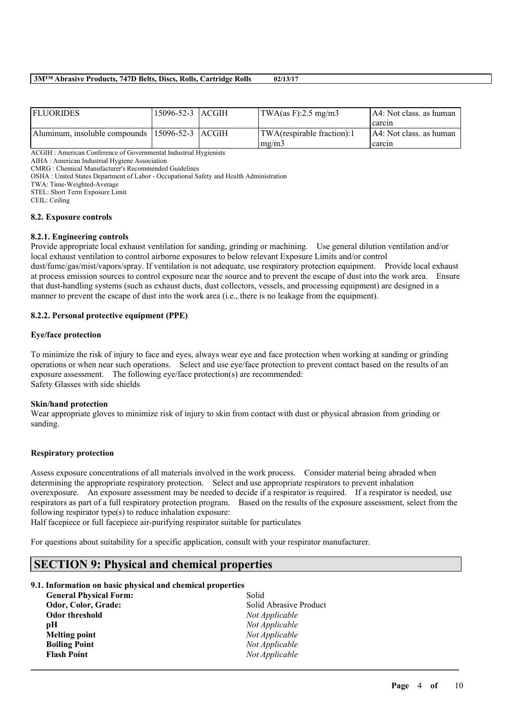| <b>FLUORIDES</b>                               | 15096-52-3   ACGIH | $\text{TWA}\left(\text{as F}\right):2.5 \text{ mg}/\text{m}3$ | IA4: Not class, as human  |
|------------------------------------------------|--------------------|---------------------------------------------------------------|---------------------------|
|                                                |                    |                                                               | I carcin                  |
| Aluminum, insoluble compounds 15096-52-3 ACGIH |                    | TWA(respirable fraction):1                                    | [A4: Not class. as human] |
|                                                |                    | $\text{Im} \Omega / \text{m}$                                 | l carcin                  |

ACGIH : American Conference of Governmental Industrial Hygienists

AIHA : American Industrial Hygiene Association

CMRG : Chemical Manufacturer's Recommended Guidelines

OSHA : United States Department of Labor - Occupational Safety and Health Administration

TWA: Time-Weighted-Average

STEL: Short Term Exposure Limit

CEIL: Ceiling

#### **8.2. Exposure controls**

#### **8.2.1. Engineering controls**

Provide appropriate local exhaust ventilation for sanding, grinding or machining. Use general dilution ventilation and/or local exhaust ventilation to control airborne exposures to below relevant Exposure Limits and/or control dust/fume/gas/mist/vapors/spray. If ventilation is not adequate, use respiratory protection equipment. Provide local exhaust at process emission sources to control exposure near the source and to prevent the escape of dust into the work area. Ensure that dust-handling systems (such as exhaust ducts, dust collectors, vessels, and processing equipment) are designed in a manner to prevent the escape of dust into the work area (i.e., there is no leakage from the equipment).

## **8.2.2. Personal protective equipment (PPE)**

#### **Eye/face protection**

To minimize the risk of injury to face and eyes, always wear eye and face protection when working at sanding or grinding operations or when near such operations. Select and use eye/face protection to prevent contact based on the results of an exposure assessment. The following eye/face protection(s) are recommended: Safety Glasses with side shields

#### **Skin/hand protection**

Wear appropriate gloves to minimize risk of injury to skin from contact with dust or physical abrasion from grinding or sanding.

#### **Respiratory protection**

Assess exposure concentrations of all materials involved in the work process. Consider material being abraded when determining the appropriate respiratory protection. Select and use appropriate respirators to prevent inhalation overexposure. An exposure assessment may be needed to decide if a respirator is required. If a respirator is needed, use respirators as part of a full respiratory protection program. Based on the results of the exposure assessment, select from the following respirator type(s) to reduce inhalation exposure:

 $\mathcal{L}_\mathcal{L} = \mathcal{L}_\mathcal{L} = \mathcal{L}_\mathcal{L} = \mathcal{L}_\mathcal{L} = \mathcal{L}_\mathcal{L} = \mathcal{L}_\mathcal{L} = \mathcal{L}_\mathcal{L} = \mathcal{L}_\mathcal{L} = \mathcal{L}_\mathcal{L} = \mathcal{L}_\mathcal{L} = \mathcal{L}_\mathcal{L} = \mathcal{L}_\mathcal{L} = \mathcal{L}_\mathcal{L} = \mathcal{L}_\mathcal{L} = \mathcal{L}_\mathcal{L} = \mathcal{L}_\mathcal{L} = \mathcal{L}_\mathcal{L}$ 

Half facepiece or full facepiece air-purifying respirator suitable for particulates

For questions about suitability for a specific application, consult with your respirator manufacturer.

## **SECTION 9: Physical and chemical properties**

#### **9.1. Information on basic physical and chemical properties**

| <b>General Physical Form:</b> | Solid                  |
|-------------------------------|------------------------|
| Odor, Color, Grade:           | Solid Abrasive Product |
| <b>Odor threshold</b>         | Not Applicable         |
| рH                            | Not Applicable         |
| <b>Melting point</b>          | Not Applicable         |
| <b>Boiling Point</b>          | Not Applicable         |
| <b>Flash Point</b>            | Not Applicable         |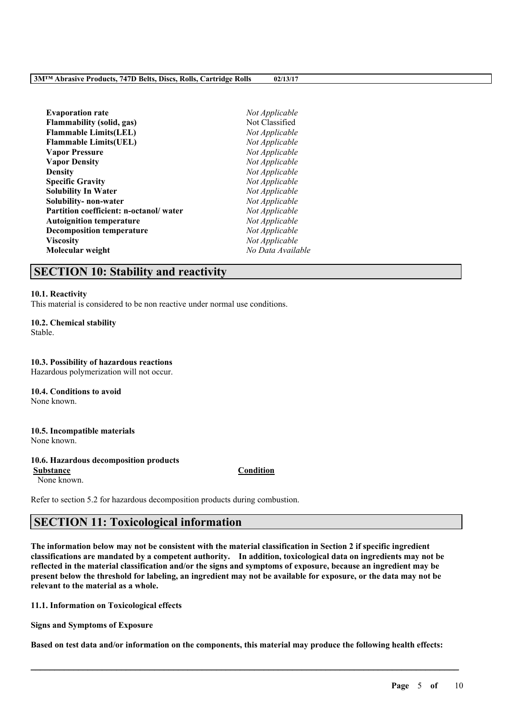| <b>Evaporation rate</b>                | Not Applicable    |
|----------------------------------------|-------------------|
| Flammability (solid, gas)              | Not Classified    |
| <b>Flammable Limits(LEL)</b>           | Not Applicable    |
| <b>Flammable Limits(UEL)</b>           | Not Applicable    |
| <b>Vapor Pressure</b>                  | Not Applicable    |
| <b>Vapor Density</b>                   | Not Applicable    |
| <b>Density</b>                         | Not Applicable    |
| <b>Specific Gravity</b>                | Not Applicable    |
| Solubility In Water                    | Not Applicable    |
| Solubility- non-water                  | Not Applicable    |
| Partition coefficient: n-octanol/water | Not Applicable    |
| <b>Autoignition temperature</b>        | Not Applicable    |
| <b>Decomposition temperature</b>       | Not Applicable    |
| Viscositv                              | Not Applicable    |
| Molecular weight                       | No Data Available |
|                                        |                   |

## **SECTION 10: Stability and reactivity**

#### **10.1. Reactivity**

This material is considered to be non reactive under normal use conditions.

**10.2. Chemical stability** Stable.

**10.3. Possibility of hazardous reactions** Hazardous polymerization will not occur.

**10.4. Conditions to avoid** None known.

**10.5. Incompatible materials** None known.

## **10.6. Hazardous decomposition products**

None known.

**Substance Condition**

Refer to section 5.2 for hazardous decomposition products during combustion.

# **SECTION 11: Toxicological information**

The information below may not be consistent with the material classification in Section 2 if specific ingredient **classifications are mandated by a competent authority. In addition, toxicological data on ingredients may not be** reflected in the material classification and/or the signs and symptoms of exposure, because an ingredient may be present below the threshold for labeling, an ingredient may not be available for exposure, or the data may not be **relevant to the material as a whole.**

**11.1. Information on Toxicological effects**

**Signs and Symptoms of Exposure**

Based on test data and/or information on the components, this material may produce the following health effects: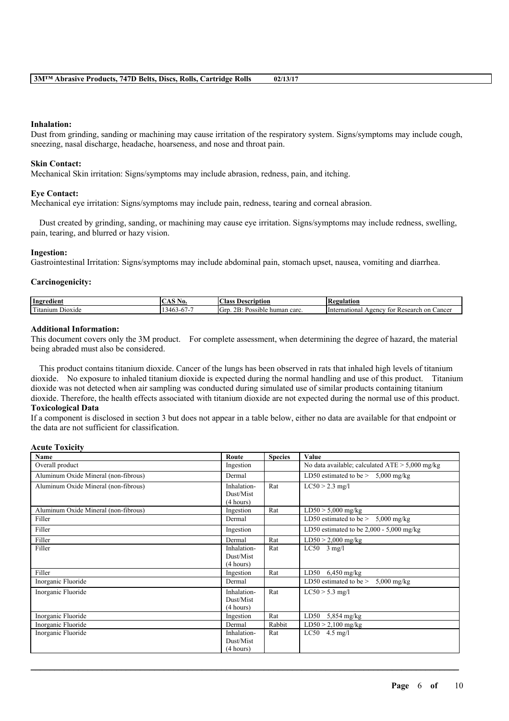#### **Inhalation:**

Dust from grinding, sanding or machining may cause irritation of the respiratory system. Signs/symptoms may include cough, sneezing, nasal discharge, headache, hoarseness, and nose and throat pain.

#### **Skin Contact:**

Mechanical Skin irritation: Signs/symptoms may include abrasion, redness, pain, and itching.

#### **Eye Contact:**

Mechanical eye irritation: Signs/symptoms may include pain, redness, tearing and corneal abrasion.

Dust created by grinding, sanding, or machining may cause eye irritation. Signs/symptoms may include redness, swelling, pain, tearing, and blurred or hazy vision.

#### **Ingestion:**

Gastrointestinal Irritation: Signs/symptoms may include abdominal pain, stomach upset, nausea, vomiting and diarrhea.

#### **Carcinogenicity:**

| Ingredient                                                        | $\sim$ $\sim$ $\sim$ $\sim$<br>INO.<br>w  | $\sim$<br>Aass<br>scription<br>Desc                                 | Regulation<br>INC                                        |
|-------------------------------------------------------------------|-------------------------------------------|---------------------------------------------------------------------|----------------------------------------------------------|
| <b>CONTRACTOR</b><br>D <sub>10</sub> x <sub>1</sub> de<br>itanium | $\sim$<br>$-0/1$<br>…יידי<br>$\mathbf{v}$ | $\overline{\phantom{0}}$<br>റ്റ<br>-Gr<br>carc<br>Possible<br>human | ∠ancer<br>Hnternational<br>Research on<br>Agency<br>-tor |

#### **Additional Information:**

This document covers only the 3M product. For complete assessment, when determining the degree of hazard, the material being abraded must also be considered.

This product contains titanium dioxide. Cancer of the lungs has been observed in rats that inhaled high levels of titanium dioxide. No exposure to inhaled titanium dioxide is expected during the normal handling and use of this product. Titanium dioxide was not detected when air sampling was conducted during simulated use of similar products containing titanium dioxide. Therefore, the health effects associated with titanium dioxide are not expected during the normal use of this product. **Toxicological Data**

If a component is disclosed in section 3 but does not appear in a table below, either no data are available for that endpoint or the data are not sufficient for classification.

## **Acute Toxicity**

| Name                                 | Route                                 | <b>Species</b> | Value                                             |
|--------------------------------------|---------------------------------------|----------------|---------------------------------------------------|
| Overall product                      | Ingestion                             |                | No data available; calculated $ATE > 5,000$ mg/kg |
| Aluminum Oxide Mineral (non-fibrous) | Dermal                                |                | LD50 estimated to be $> 5,000$ mg/kg              |
| Aluminum Oxide Mineral (non-fibrous) | Inhalation-<br>Dust/Mist<br>(4 hours) | Rat            | $LC50 > 2.3$ mg/l                                 |
| Aluminum Oxide Mineral (non-fibrous) | Ingestion                             | Rat            | $LD50 > 5,000$ mg/kg                              |
| Filler                               | Dermal                                |                | LD50 estimated to be $> 5,000$ mg/kg              |
| Filler                               | Ingestion                             |                | LD50 estimated to be $2,000 - 5,000$ mg/kg        |
| Filler                               | Dermal                                | Rat            | $LD50 > 2,000$ mg/kg                              |
| Filler                               | Inhalation-<br>Dust/Mist<br>(4 hours) | Rat            | $LC50$ 3 mg/l                                     |
| Filler                               | Ingestion                             | Rat            | LD50 $6,450$ mg/kg                                |
| Inorganic Fluoride                   | Dermal                                |                | LD50 estimated to be $>$<br>$5,000$ mg/kg         |
| Inorganic Fluoride                   | Inhalation-<br>Dust/Mist<br>(4 hours) | Rat            | $LC50 > 5.3$ mg/l                                 |
| Inorganic Fluoride                   | Ingestion                             | Rat            | LD50<br>$5,854$ mg/kg                             |
| Inorganic Fluoride                   | Dermal                                | Rabbit         | $LD50 > 2,100$ mg/kg                              |
| Inorganic Fluoride                   | Inhalation-<br>Dust/Mist<br>(4 hours) | Rat            | $LC50$ 4.5 mg/l                                   |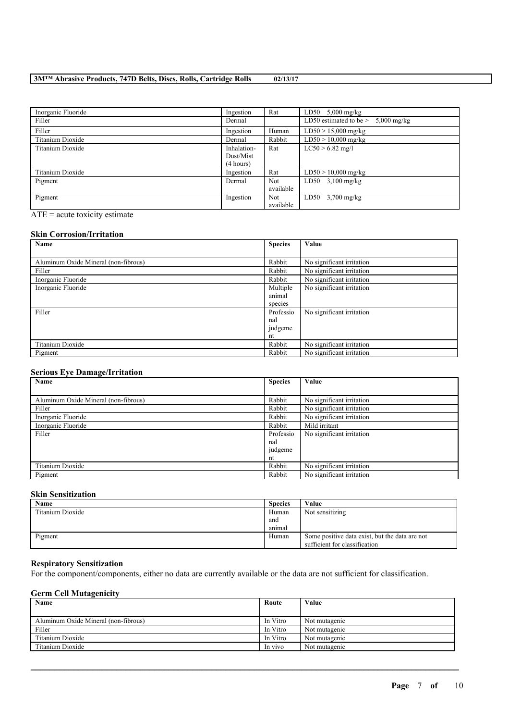| Inorganic Fluoride | Ingestion                             | Rat                     | LD50 $5,000$ mg/kg                   |
|--------------------|---------------------------------------|-------------------------|--------------------------------------|
| Filler             | Dermal                                |                         | LD50 estimated to be $> 5,000$ mg/kg |
| Filler             | Ingestion                             | Human                   | $LD50 > 15,000$ mg/kg                |
| Titanium Dioxide   | Dermal                                | Rabbit                  | $LD50 > 10,000$ mg/kg                |
| Titanium Dioxide   | Inhalation-<br>Dust/Mist<br>(4 hours) | Rat                     | $LC50 > 6.82$ mg/l                   |
| Titanium Dioxide   | Ingestion                             | Rat                     | $LD50 > 10,000$ mg/kg                |
| Pigment            | Dermal                                | <b>Not</b><br>available | LD50 $3,100 \text{ mg/kg}$           |
| Pigment            | Ingestion                             | <b>Not</b><br>available | $LD50$ 3,700 mg/kg                   |

ATE = acute toxicity estimate

#### **Skin Corrosion/Irritation**

| Name                                 | <b>Species</b> | Value                     |
|--------------------------------------|----------------|---------------------------|
|                                      |                |                           |
| Aluminum Oxide Mineral (non-fibrous) | Rabbit         | No significant irritation |
| Filler                               | Rabbit         | No significant irritation |
| Inorganic Fluoride                   | Rabbit         | No significant irritation |
| Inorganic Fluoride                   | Multiple       | No significant irritation |
|                                      | animal         |                           |
|                                      | species        |                           |
| Filler                               | Professio      | No significant irritation |
|                                      | nal            |                           |
|                                      | judgeme        |                           |
|                                      | nt             |                           |
| Titanium Dioxide                     | Rabbit         | No significant irritation |
| Pigment                              | Rabbit         | No significant irritation |

#### **Serious Eye Damage/Irritation**

| Name                                 | <b>Species</b> | Value                     |
|--------------------------------------|----------------|---------------------------|
|                                      |                |                           |
| Aluminum Oxide Mineral (non-fibrous) | Rabbit         | No significant irritation |
| Filler                               | Rabbit         | No significant irritation |
| Inorganic Fluoride                   | Rabbit         | No significant irritation |
| Inorganic Fluoride                   | Rabbit         | Mild irritant             |
| Filler                               | Professio      | No significant irritation |
|                                      | nal            |                           |
|                                      | judgeme        |                           |
|                                      | nt             |                           |
| Titanium Dioxide                     | Rabbit         | No significant irritation |
| Pigment                              | Rabbit         | No significant irritation |

## **Skin Sensitization**

| <b>Name</b>      | <b>Species</b> | Value                                          |
|------------------|----------------|------------------------------------------------|
| Titanium Dioxide | Human          | Not sensitizing                                |
|                  | and            |                                                |
|                  | animal         |                                                |
| Pigment          | Human          | Some positive data exist, but the data are not |
|                  |                | sufficient for classification                  |

#### **Respiratory Sensitization**

For the component/components, either no data are currently available or the data are not sufficient for classification.

## **Germ Cell Mutagenicity**

| Name                                 | Route    | Value         |
|--------------------------------------|----------|---------------|
|                                      |          |               |
| Aluminum Oxide Mineral (non-fibrous) | In Vitro | Not mutagenic |
| Filler                               | In Vitro | Not mutagenic |
| Titanium Dioxide                     | In Vitro | Not mutagenic |
| Titanium Dioxide                     | In vivo  | Not mutagenic |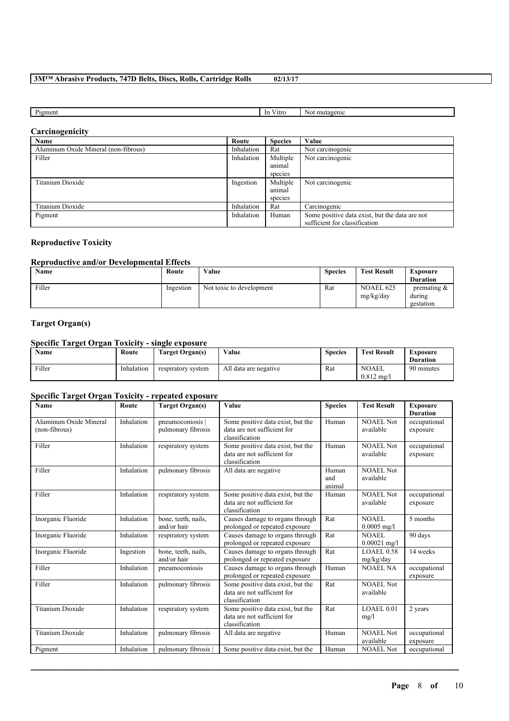| $\sim$<br>'1gmen<br>mutagenic<br>∨itro<br>-In<br>IΝO |  |  |
|------------------------------------------------------|--|--|
|                                                      |  |  |

## **Carcinogenicity**

| Name                                 | Route      | <b>Species</b> | Value                                          |
|--------------------------------------|------------|----------------|------------------------------------------------|
| Aluminum Oxide Mineral (non-fibrous) | Inhalation | Rat            | Not carcinogenic                               |
| Filler                               | Inhalation | Multiple       | Not carcinogenic                               |
|                                      |            | animal         |                                                |
|                                      |            | species        |                                                |
| Titanium Dioxide                     | Ingestion  | Multiple       | Not carcinogenic                               |
|                                      |            | animal         |                                                |
|                                      |            | species        |                                                |
| Titanium Dioxide                     | Inhalation | Rat            | Carcinogenic                                   |
| Pigment                              | Inhalation | Human          | Some positive data exist, but the data are not |
|                                      |            |                | sufficient for classification                  |

## **Reproductive Toxicity**

## **Reproductive and/or Developmental Effects**

| Name   | Route     | Value                    | <b>Species</b> | <b>Test Result</b>            | Exposure<br><b>Duration</b>           |
|--------|-----------|--------------------------|----------------|-------------------------------|---------------------------------------|
| Filler | Ingestion | Not toxic to development | Rat            | <b>NOAEL 625</b><br>mg/kg/day | premating $\&$<br>during<br>gestation |

## **Target Organ(s)**

## **Specific Target Organ Toxicity - single exposure**

| <b>Name</b> | Route      | Target Organ(s)    | Value                 | <b>Species</b> | <b>Test Result</b>                    | Exposure        |
|-------------|------------|--------------------|-----------------------|----------------|---------------------------------------|-----------------|
|             |            |                    |                       |                |                                       | <b>Duration</b> |
| Filler      | Inhalation | respiratory system | All data are negative | Rat            | <b>NOAEL</b><br>$0.812 \text{ m}$ g/l | 90 minutes      |

## **Specific Target Organ Toxicity - repeated exposure**

| Name                                    | Route      | <b>Target Organ(s)</b>                 | Value                                                                              | <b>Species</b>         | <b>Test Result</b>             | <b>Exposure</b><br><b>Duration</b> |
|-----------------------------------------|------------|----------------------------------------|------------------------------------------------------------------------------------|------------------------|--------------------------------|------------------------------------|
| Aluminum Oxide Mineral<br>(non-fibrous) | Inhalation | pneumoconiosis  <br>pulmonary fibrosis | Some positive data exist, but the<br>data are not sufficient for<br>classification | Human                  | NOAEL Not<br>available         | occupational<br>exposure           |
| Filler                                  | Inhalation | respiratory system                     | Some positive data exist, but the<br>data are not sufficient for<br>classification | Human                  | <b>NOAEL Not</b><br>available  | occupational<br>exposure           |
| Filler                                  | Inhalation | pulmonary fibrosis                     | All data are negative                                                              | Human<br>and<br>animal | NOAEL Not<br>available         |                                    |
| Filler                                  | Inhalation | respiratory system                     | Some positive data exist, but the<br>data are not sufficient for<br>classification | Human                  | <b>NOAEL Not</b><br>available  | occupational<br>exposure           |
| Inorganic Fluoride                      | Inhalation | bone, teeth, nails,<br>and/or hair     | Causes damage to organs through<br>prolonged or repeated exposure                  | Rat                    | <b>NOAEL</b><br>$0.0005$ mg/l  | 5 months                           |
| Inorganic Fluoride                      | Inhalation | respiratory system                     | Causes damage to organs through<br>prolonged or repeated exposure                  | Rat                    | <b>NOAEL</b><br>$0.00021$ mg/l | 90 days                            |
| Inorganic Fluoride                      | Ingestion  | bone, teeth, nails,<br>and/or hair     | Causes damage to organs through<br>prolonged or repeated exposure                  | Rat                    | <b>LOAEL0.58</b><br>mg/kg/day  | 14 weeks                           |
| Filler                                  | Inhalation | pneumoconiosis                         | Causes damage to organs through<br>prolonged or repeated exposure                  | Human                  | <b>NOAEL NA</b>                | occupational<br>exposure           |
| Filler                                  | Inhalation | pulmonary fibrosis                     | Some positive data exist, but the<br>data are not sufficient for<br>classification | Rat                    | <b>NOAEL Not</b><br>available  |                                    |
| <b>Titanium Dioxide</b>                 | Inhalation | respiratory system                     | Some positive data exist, but the<br>data are not sufficient for<br>classification | Rat                    | LOAEL 0.01<br>mg/l             | 2 years                            |
| <b>Titanium Dioxide</b>                 | Inhalation | pulmonary fibrosis                     | All data are negative                                                              | Human                  | <b>NOAEL Not</b><br>available  | occupational<br>exposure           |
| Pigment                                 | Inhalation | pulmonary fibrosis                     | Some positive data exist, but the                                                  | Human                  | <b>NOAEL Not</b>               | occupational                       |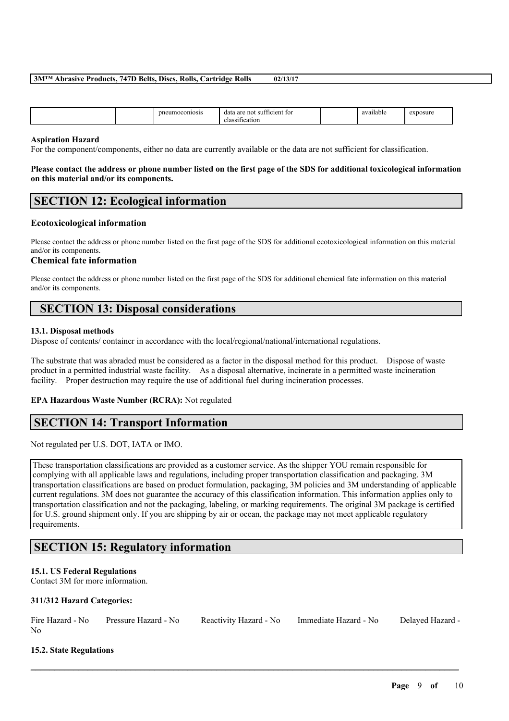|  | זו<br>```ONIOS… | -no:<br>. ar<br>uata<br>7H<br>-13<br>. . |  | 0.570<br>lable<br> | NSU.<br>nc |
|--|-----------------|------------------------------------------|--|--------------------|------------|
|--|-----------------|------------------------------------------|--|--------------------|------------|

#### **Aspiration Hazard**

For the component/components, either no data are currently available or the data are not sufficient for classification.

#### Please contact the address or phone number listed on the first page of the SDS for additional toxicological information **on this material and/or its components.**

# **SECTION 12: Ecological information**

## **Ecotoxicological information**

Please contact the address or phone number listed on the first page of the SDS for additional ecotoxicological information on this material and/or its components.

#### **Chemical fate information**

Please contact the address or phone number listed on the first page of the SDS for additional chemical fate information on this material and/or its components.

# **SECTION 13: Disposal considerations**

#### **13.1. Disposal methods**

Dispose of contents/ container in accordance with the local/regional/national/international regulations.

The substrate that was abraded must be considered as a factor in the disposal method for this product. Dispose of waste product in a permitted industrial waste facility. As a disposal alternative, incinerate in a permitted waste incineration facility. Proper destruction may require the use of additional fuel during incineration processes.

## **EPA Hazardous Waste Number (RCRA):** Not regulated

## **SECTION 14: Transport Information**

Not regulated per U.S. DOT, IATA or IMO.

These transportation classifications are provided as a customer service. As the shipper YOU remain responsible for complying with all applicable laws and regulations, including proper transportation classification and packaging. 3M transportation classifications are based on product formulation, packaging, 3M policies and 3M understanding of applicable current regulations. 3M does not guarantee the accuracy of this classification information. This information applies only to transportation classification and not the packaging, labeling, or marking requirements. The original 3M package is certified for U.S. ground shipment only. If you are shipping by air or ocean, the package may not meet applicable regulatory requirements.

# **SECTION 15: Regulatory information**

## **15.1. US Federal Regulations**

Contact 3M for more information.

#### **311/312 Hazard Categories:**

|                | Fire Hazard - No Pressure Hazard - No | Reactivity Hazard - No Immediate Hazard - No | Delayed Hazard - |
|----------------|---------------------------------------|----------------------------------------------|------------------|
| N <sub>0</sub> |                                       |                                              |                  |

 $\mathcal{L}_\mathcal{L} = \mathcal{L}_\mathcal{L} = \mathcal{L}_\mathcal{L} = \mathcal{L}_\mathcal{L} = \mathcal{L}_\mathcal{L} = \mathcal{L}_\mathcal{L} = \mathcal{L}_\mathcal{L} = \mathcal{L}_\mathcal{L} = \mathcal{L}_\mathcal{L} = \mathcal{L}_\mathcal{L} = \mathcal{L}_\mathcal{L} = \mathcal{L}_\mathcal{L} = \mathcal{L}_\mathcal{L} = \mathcal{L}_\mathcal{L} = \mathcal{L}_\mathcal{L} = \mathcal{L}_\mathcal{L} = \mathcal{L}_\mathcal{L}$ 

## **15.2. State Regulations**